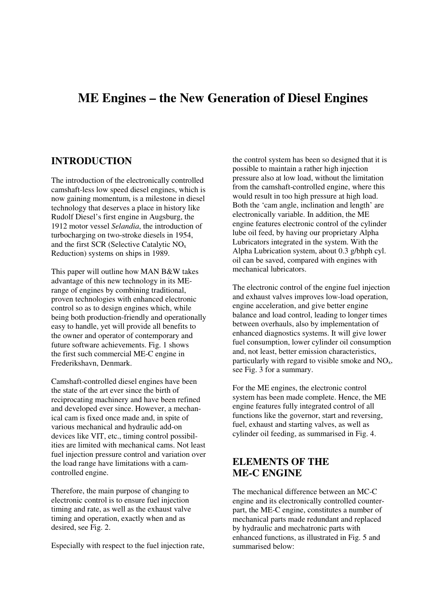# **ME Engines – the New Generation of Diesel Engines**

#### **INTRODUCTION**

The introduction of the electronically controlled camshaft-less low speed diesel engines, which is now gaining momentum, is a milestone in diesel technology that deserves a place in history like Rudolf Diesel's first engine in Augsburg, the 1912 motor vessel *Selandia*, the introduction of turbocharging on two-stroke diesels in 1954, and the first SCR (Selective Catalytic NOx Reduction) systems on ships in 1989.

This paper will outline how MAN B&W takes advantage of this new technology in its MErange of engines by combining traditional, proven technologies with enhanced electronic control so as to design engines which, while being both production-friendly and operationally easy to handle, yet will provide all benefits to the owner and operator of contemporary and future software achievements. Fig. 1 shows the first such commercial ME-C engine in Frederikshavn, Denmark.

Camshaft-controlled diesel engines have been the state of the art ever since the birth of reciprocating machinery and have been refined and developed ever since. However, a mechanical cam is fixed once made and, in spite of various mechanical and hydraulic add-on devices like VIT, etc., timing control possibilities are limited with mechanical cams. Not least fuel injection pressure control and variation over the load range have limitations with a camcontrolled engine.

Therefore, the main purpose of changing to electronic control is to ensure fuel injection timing and rate, as well as the exhaust valve timing and operation, exactly when and as desired, see Fig. 2.

Especially with respect to the fuel injection rate,

the control system has been so designed that it is possible to maintain a rather high injection pressure also at low load, without the limitation from the camshaft-controlled engine, where this would result in too high pressure at high load. Both the 'cam angle, inclination and length' are electronically variable. In addition, the ME engine features electronic control of the cylinder lube oil feed, by having our proprietary Alpha Lubricators integrated in the system. With the Alpha Lubrication system, about 0.3 g/bhph cyl. oil can be saved, compared with engines with mechanical lubricators.

The electronic control of the engine fuel injection and exhaust valves improves low-load operation, engine acceleration, and give better engine balance and load control, leading to longer times between overhauls, also by implementation of enhanced diagnostics systems. It will give lower fuel consumption, lower cylinder oil consumption and, not least, better emission characteristics, particularly with regard to visible smoke and  $NO<sub>x</sub>$ , see Fig. 3 for a summary.

For the ME engines, the electronic control system has been made complete. Hence, the ME engine features fully integrated control of all functions like the governor, start and reversing, fuel, exhaust and starting valves, as well as cylinder oil feeding, as summarised in Fig. 4.

### **ELEMENTS OF THE ME-C ENGINE**

The mechanical difference between an MC-C engine and its electronically controlled counterpart, the ME-C engine, constitutes a number of mechanical parts made redundant and replaced by hydraulic and mechatronic parts with enhanced functions, as illustrated in Fig. 5 and summarised below: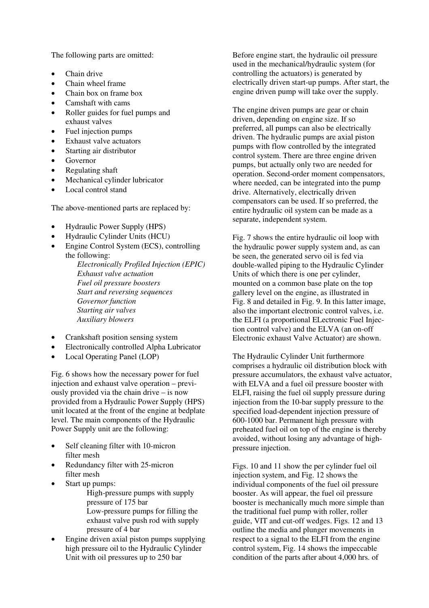The following parts are omitted:

- Chain drive
- Chain wheel frame
- Chain box on frame box
- Camshaft with cams
- Roller guides for fuel pumps and exhaust valves
- Fuel injection pumps
- Exhaust valve actuators
- Starting air distributor
- Governor
- Regulating shaft
- Mechanical cylinder lubricator
- Local control stand

The above-mentioned parts are replaced by:

- Hydraulic Power Supply (HPS)
- Hydraulic Cylinder Units (HCU)
- Engine Control System (ECS), controlling the following:
	- *Electronically Profiled Injection (EPIC) Exhaust valve actuation Fuel oil pressure boosters Start and reversing sequences Governor function Starting air valves Auxiliary blowers*
- Crankshaft position sensing system
- Electronically controlled Alpha Lubricator
- Local Operating Panel (LOP)

Fig. 6 shows how the necessary power for fuel injection and exhaust valve operation – previously provided via the chain drive – is now provided from a Hydraulic Power Supply (HPS) unit located at the front of the engine at bedplate level. The main components of the Hydraulic Power Supply unit are the following:

- Self cleaning filter with 10-micron filter mesh
- Redundancy filter with 25-micron filter mesh
- Start up pumps:
	- High-pressure pumps with supply pressure of 175 bar Low-pressure pumps for filling the exhaust valve push rod with supply pressure of 4 bar
- Engine driven axial piston pumps supplying high pressure oil to the Hydraulic Cylinder Unit with oil pressures up to 250 bar

Before engine start, the hydraulic oil pressure used in the mechanical/hydraulic system (for controlling the actuators) is generated by electrically driven start-up pumps. After start, the engine driven pump will take over the supply.

The engine driven pumps are gear or chain driven, depending on engine size. If so preferred, all pumps can also be electrically driven. The hydraulic pumps are axial piston pumps with flow controlled by the integrated control system. There are three engine driven pumps, but actually only two are needed for operation. Second-order moment compensators, where needed, can be integrated into the pump drive. Alternatively, electrically driven compensators can be used. If so preferred, the entire hydraulic oil system can be made as a separate, independent system.

Fig. 7 shows the entire hydraulic oil loop with the hydraulic power supply system and, as can be seen, the generated servo oil is fed via double-walled piping to the Hydraulic Cylinder Units of which there is one per cylinder, mounted on a common base plate on the top gallery level on the engine, as illustrated in Fig. 8 and detailed in Fig. 9. In this latter image, also the important electronic control valves, i.e. the ELFI (a proportional ELectronic Fuel Injection control valve) and the ELVA (an on-off Electronic exhaust Valve Actuator) are shown.

The Hydraulic Cylinder Unit furthermore comprises a hydraulic oil distribution block with pressure accumulators, the exhaust valve actuator, with ELVA and a fuel oil pressure booster with ELFI, raising the fuel oil supply pressure during injection from the 10-bar supply pressure to the specified load-dependent injection pressure of 600-1000 bar. Permanent high pressure with preheated fuel oil on top of the engine is thereby avoided, without losing any advantage of highpressure injection.

Figs. 10 and 11 show the per cylinder fuel oil injection system, and Fig. 12 shows the individual components of the fuel oil pressure booster. As will appear, the fuel oil pressure booster is mechanically much more simple than the traditional fuel pump with roller, roller guide, VIT and cut-off wedges. Figs. 12 and 13 outline the media and plunger movements in respect to a signal to the ELFI from the engine control system, Fig. 14 shows the impeccable condition of the parts after about 4,000 hrs. of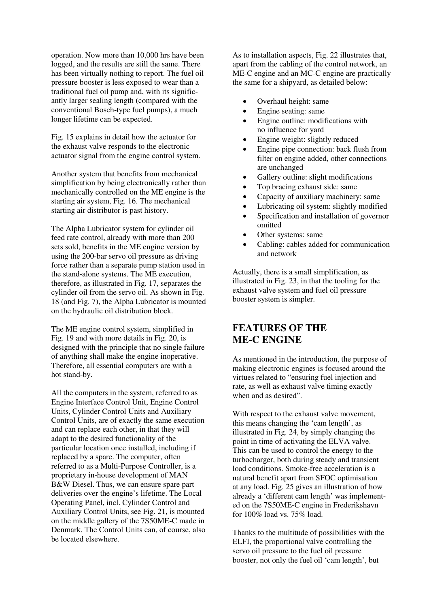operation. Now more than 10,000 hrs have been logged, and the results are still the same. There has been virtually nothing to report. The fuel oil pressure booster is less exposed to wear than a traditional fuel oil pump and, with its significantly larger sealing length (compared with the conventional Bosch-type fuel pumps), a much longer lifetime can be expected.

Fig. 15 explains in detail how the actuator for the exhaust valve responds to the electronic actuator signal from the engine control system.

Another system that benefits from mechanical simplification by being electronically rather than mechanically controlled on the ME engine is the starting air system, Fig. 16. The mechanical starting air distributor is past history.

The Alpha Lubricator system for cylinder oil feed rate control, already with more than 200 sets sold, benefits in the ME engine version by using the 200-bar servo oil pressure as driving force rather than a separate pump station used in the stand-alone systems. The ME execution, therefore, as illustrated in Fig. 17, separates the cylinder oil from the servo oil. As shown in Fig. 18 (and Fig. 7), the Alpha Lubricator is mounted on the hydraulic oil distribution block.

The ME engine control system, simplified in Fig. 19 and with more details in Fig. 20, is designed with the principle that no single failure of anything shall make the engine inoperative. Therefore, all essential computers are with a hot stand-by.

All the computers in the system, referred to as Engine Interface Control Unit, Engine Control Units, Cylinder Control Units and Auxiliary Control Units, are of exactly the same execution and can replace each other, in that they will adapt to the desired functionality of the particular location once installed, including if replaced by a spare. The computer, often referred to as a Multi-Purpose Controller, is a proprietary in-house development of MAN B&W Diesel. Thus, we can ensure spare part deliveries over the engine's lifetime. The Local Operating Panel, incl. Cylinder Control and Auxiliary Control Units, see Fig. 21, is mounted on the middle gallery of the 7S50ME-C made in Denmark. The Control Units can, of course, also be located elsewhere.

As to installation aspects, Fig. 22 illustrates that, apart from the cabling of the control network, an ME-C engine and an MC-C engine are practically the same for a shipyard, as detailed below:

- Overhaul height: same
- Engine seating: same
- Engine outline: modifications with no influence for yard
- Engine weight: slightly reduced
- Engine pipe connection: back flush from filter on engine added, other connections are unchanged
- Gallery outline: slight modifications
- Top bracing exhaust side: same
- Capacity of auxiliary machinery: same
- Lubricating oil system: slightly modified
- Specification and installation of governor omitted
- Other systems: same
- Cabling: cables added for communication and network

Actually, there is a small simplification, as illustrated in Fig. 23, in that the tooling for the exhaust valve system and fuel oil pressure booster system is simpler.

## **FEATURES OF THE ME-C ENGINE**

As mentioned in the introduction, the purpose of making electronic engines is focused around the virtues related to "ensuring fuel injection and rate, as well as exhaust valve timing exactly when and as desired".

With respect to the exhaust valve movement. this means changing the 'cam length', as illustrated in Fig. 24, by simply changing the point in time of activating the ELVA valve. This can be used to control the energy to the turbocharger, both during steady and transient load conditions. Smoke-free acceleration is a natural benefit apart from SFOC optimisation at any load. Fig. 25 gives an illustration of how already a 'different cam length' was implemented on the 7S50ME-C engine in Frederikshavn for 100% load vs. 75% load.

Thanks to the multitude of possibilities with the ELFI, the proportional valve controlling the servo oil pressure to the fuel oil pressure booster, not only the fuel oil 'cam length', but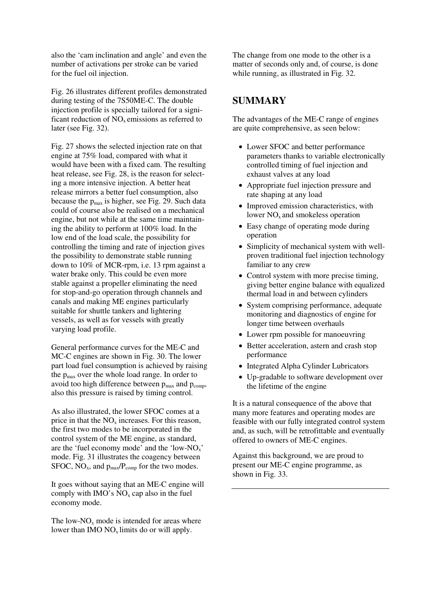also the 'cam inclination and angle' and even the number of activations per stroke can be varied for the fuel oil injection.

Fig. 26 illustrates different profiles demonstrated during testing of the 7S50ME-C. The double injection profile is specially tailored for a significant reduction of  $NO<sub>x</sub>$  emissions as referred to later (see Fig. 32).

Fig. 27 shows the selected injection rate on that engine at 75% load, compared with what it would have been with a fixed cam. The resulting heat release, see Fig. 28, is the reason for selecting a more intensive injection. A better heat release mirrors a better fuel consumption, also because the  $p_{max}$  is higher, see Fig. 29. Such data could of course also be realised on a mechanical engine, but not while at the same time maintaining the ability to perform at 100% load. In the low end of the load scale, the possibility for controlling the timing and rate of injection gives the possibility to demonstrate stable running down to 10% of MCR-rpm, i.e. 13 rpm against a water brake only. This could be even more stable against a propeller eliminating the need for stop-and-go operation through channels and canals and making ME engines particularly suitable for shuttle tankers and lightering vessels, as well as for vessels with greatly varying load profile.

General performance curves for the ME-C and MC-C engines are shown in Fig. 30. The lower part load fuel consumption is achieved by raising the pmax over the whole load range. In order to avoid too high difference between  $p_{max}$  and  $p_{comm}$ , also this pressure is raised by timing control.

As also illustrated, the lower SFOC comes at a price in that the  $NO<sub>x</sub>$  increases. For this reason, the first two modes to be incorporated in the control system of the ME engine, as standard, are the 'fuel economy mode' and the 'low-NOx' mode. Fig. 31 illustrates the coagency between SFOC,  $NO_x$ , and  $p_{max}/P_{comp}$  for the two modes.

It goes without saying that an ME-C engine will comply with  $IMO's NO<sub>x</sub>$  cap also in the fuel economy mode.

The low- $NO<sub>x</sub>$  mode is intended for areas where lower than IMO  $NO<sub>x</sub>$  limits do or will apply.

The change from one mode to the other is a matter of seconds only and, of course, is done while running, as illustrated in Fig. 32.

### **SUMMARY**

The advantages of the ME-C range of engines are quite comprehensive, as seen below:

- Lower SFOC and better performance parameters thanks to variable electronically controlled timing of fuel injection and exhaust valves at any load
- Appropriate fuel injection pressure and rate shaping at any load
- Improved emission characteristics, with lower  $NO<sub>x</sub>$  and smokeless operation
- Easy change of operating mode during operation
- Simplicity of mechanical system with wellproven traditional fuel injection technology familiar to any crew
- Control system with more precise timing, giving better engine balance with equalized thermal load in and between cylinders
- System comprising performance, adequate monitoring and diagnostics of engine for longer time between overhauls
- Lower rpm possible for manoeuvring
- Better acceleration, astern and crash stop performance
- Integrated Alpha Cylinder Lubricators
- Up-gradable to software development over the lifetime of the engine

It is a natural consequence of the above that many more features and operating modes are feasible with our fully integrated control system and, as such, will be retrofittable and eventually offered to owners of ME-C engines.

Against this background, we are proud to present our ME-C engine programme, as shown in Fig. 33.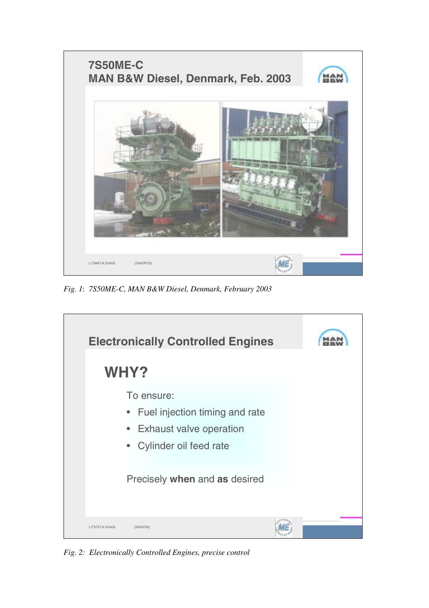

*Fig. 1*: *7S50ME-C, MAN B&W Diesel, Denmark, February 2003* 

| WHY?             | <b>Electronically Controlled Engines</b>                                                                     |  |
|------------------|--------------------------------------------------------------------------------------------------------------|--|
| $\bullet$        | To ensure:<br>• Fuel injection timing and rate<br><b>Exhaust valve operation</b><br>• Cylinder oil feed rate |  |
|                  | Precisely when and as desired                                                                                |  |
| L/73737-6.2/0403 | (3000/OG)                                                                                                    |  |

*Fig. 2: Electronically Controlled Engines, precise control*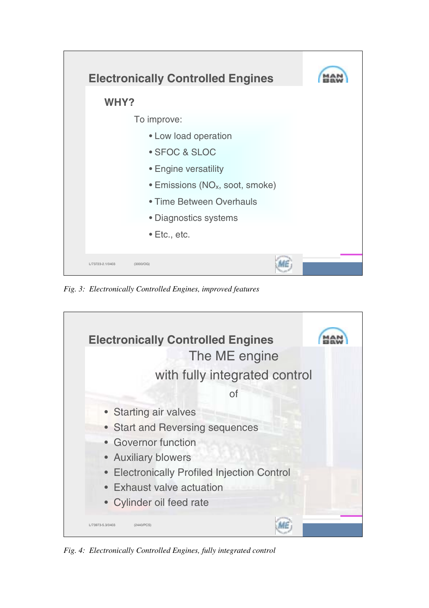

*Fig. 3: Electronically Controlled Engines, improved features* 



*Fig. 4: Electronically Controlled Engines, fully integrated control*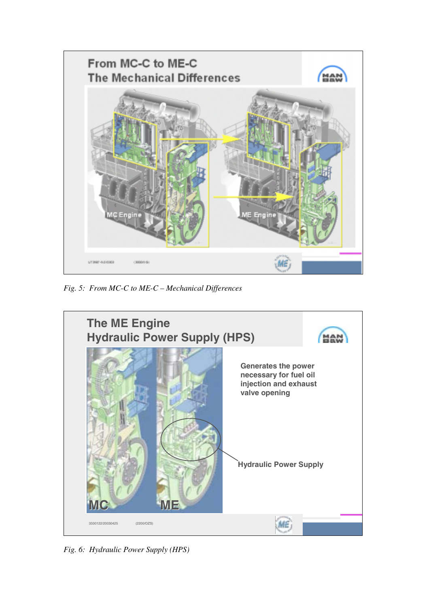

*Fig. 5: From MC-C to ME-C – Mechanical Differences* 



*Fig. 6: Hydraulic Power Supply (HPS)*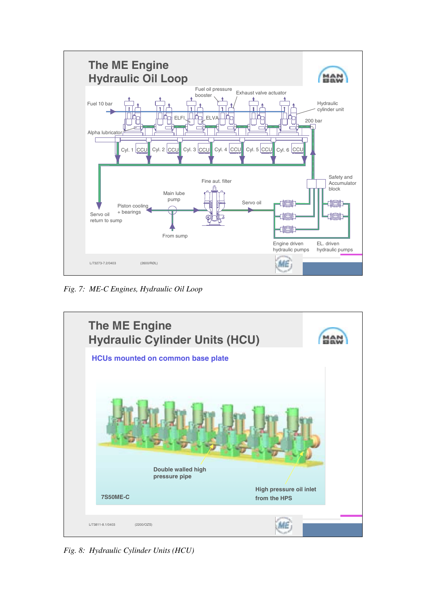

*Fig. 7: ME-C Engines, Hydraulic Oil Loop* 



*Fig. 8: Hydraulic Cylinder Units (HCU)*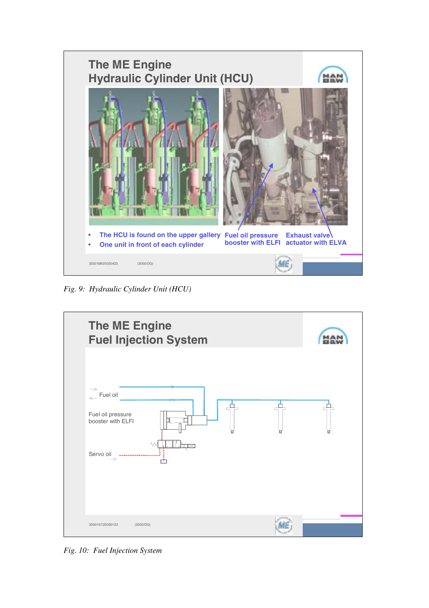

*Fig. 9: Hydraulic Cylinder Unit (HCU)* 



*Fig. 10: Fuel Injection System*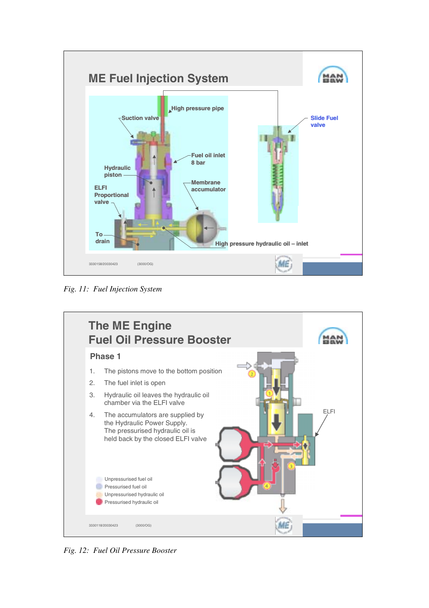

*Fig. 11: Fuel Injection System* 



*Fig. 12: Fuel Oil Pressure Booster*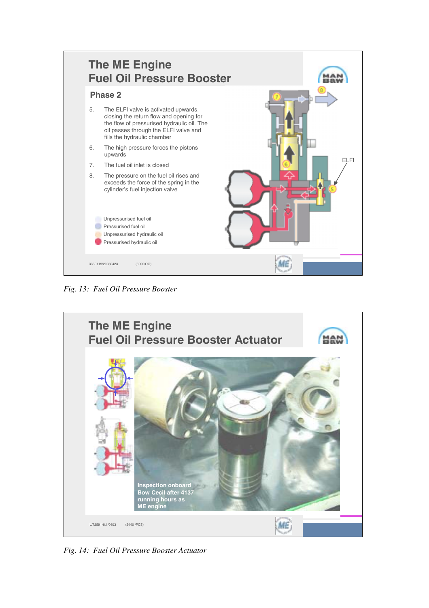

*Fig. 13: Fuel Oil Pressure Booster* 



*Fig. 14: Fuel Oil Pressure Booster Actuator*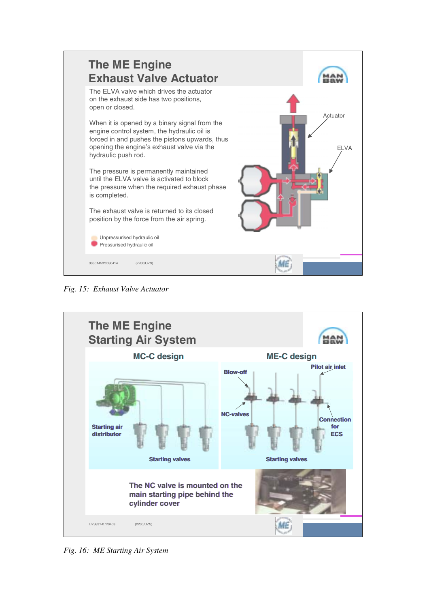

*Fig. 15: Exhaust Valve Actuator* 



*Fig. 16: ME Starting Air System*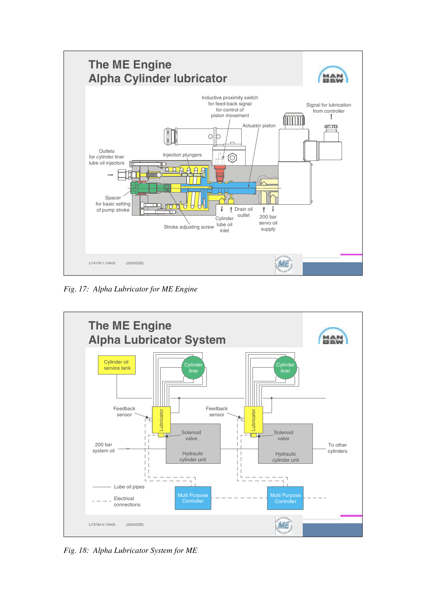

*Fig. 17: Alpha Lubricator for ME Engine* 



*Fig. 18: Alpha Lubricator System for ME*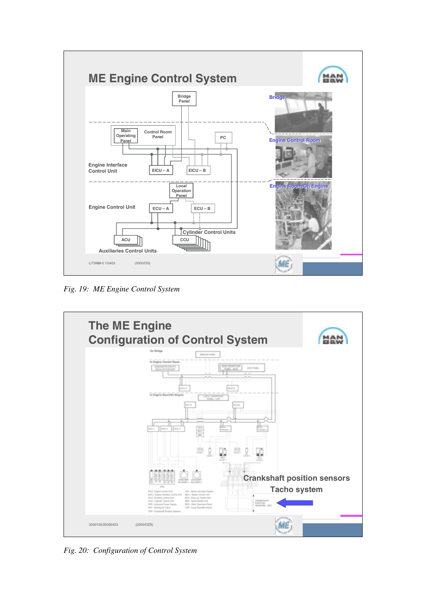

*Fig. 19: ME Engine Control System* 



*Fig. 20: Configuration of Control System*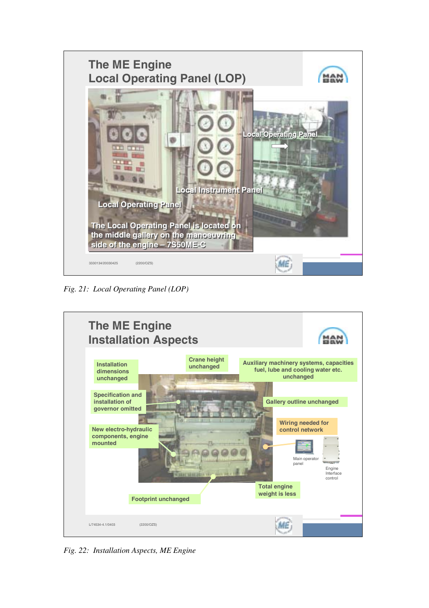

*Fig. 21: Local Operating Panel (LOP)* 



*Fig. 22: Installation Aspects, ME Engine*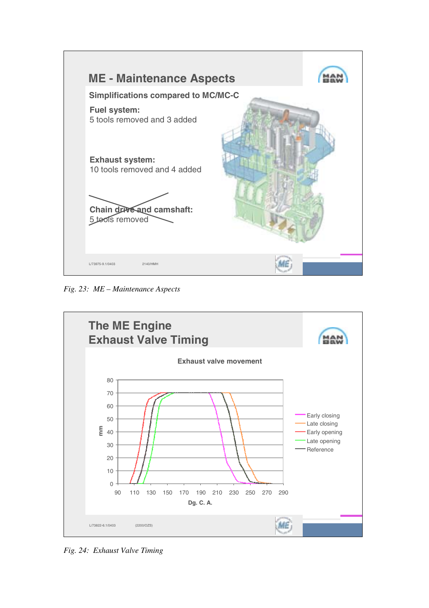

*Fig. 23: ME – Maintenance Aspects* 



*Fig. 24: Exhaust Valve Timing*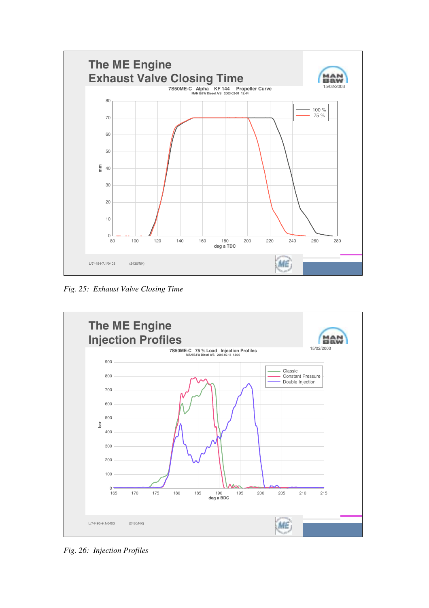

*Fig. 25: Exhaust Valve Closing Time* 



*Fig. 26: Injection Profiles*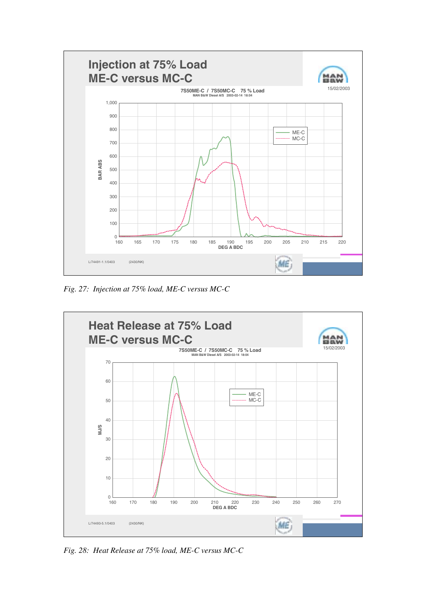

*Fig. 27: Injection at 75% load, ME-C versus MC-C* 



*Fig. 28: Heat Release at 75% load, ME-C versus MC-C*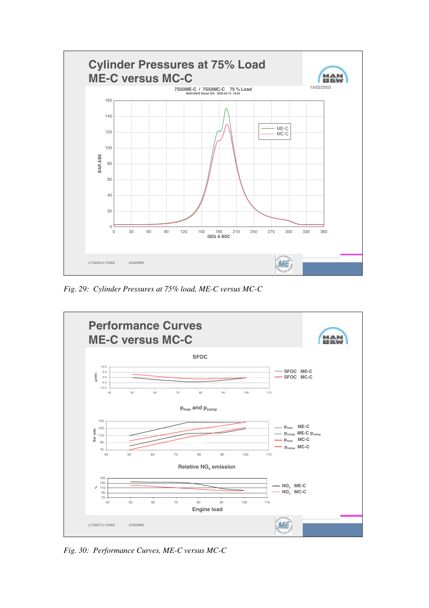

*Fig. 29: Cylinder Pressures at 75% load, ME-C versus MC-C* 



*Fig. 30: Performance Curves, ME-C versus MC-C*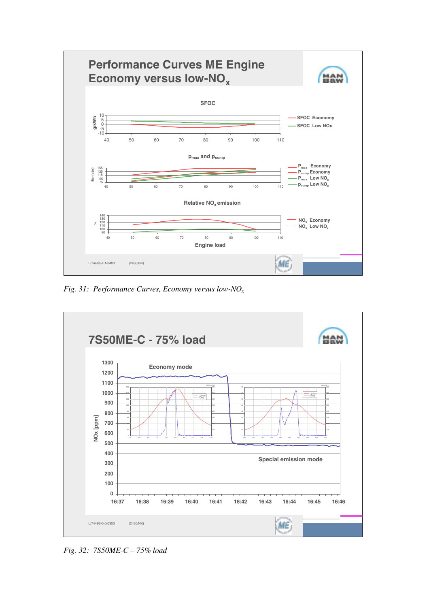

*Fig. 31: Performance Curves, Economy versus low-NOx*



*Fig. 32: 7S50ME-C – 75% load*